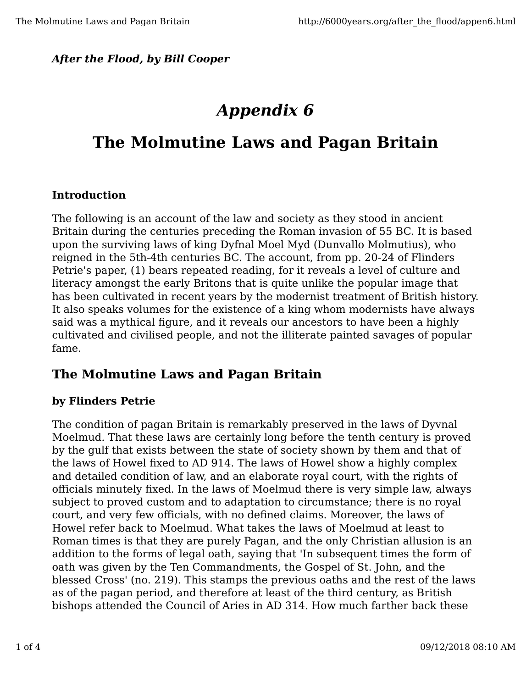#### *After the Flood, by Bill Cooper*

# *Appendix 6*

## **The Molmutine Laws and Pagan Britain**

#### **Introduction**

The following is an account of the law and society as they stood in ancient Britain during the centuries preceding the Roman invasion of 55 BC. It is based upon the surviving laws of king Dyfnal Moel Myd (Dunvallo Molmutius), who reigned in the 5th-4th centuries BC. The account, from pp. 20-24 of Flinders Petrie's paper, (1) bears repeated reading, for it reveals a level of culture and literacy amongst the early Britons that is quite unlike the popular image that has been cultivated in recent years by the modernist treatment of British history. It also speaks volumes for the existence of a king whom modernists have always said was a mythical figure, and it reveals our ancestors to have been a highly cultivated and civilised people, and not the illiterate painted savages of popular fame.

## **The Molmutine Laws and Pagan Britain**

#### **by Flinders Petrie**

The condition of pagan Britain is remarkably preserved in the laws of Dyvnal Moelmud. That these laws are certainly long before the tenth century is proved by the gulf that exists between the state of society shown by them and that of the laws of Howel fixed to AD 914. The laws of Howel show a highly complex and detailed condition of law, and an elaborate royal court, with the rights of officials minutely fixed. In the laws of Moelmud there is very simple law, always subject to proved custom and to adaptation to circumstance; there is no royal court, and very few officials, with no defined claims. Moreover, the laws of Howel refer back to Moelmud. What takes the laws of Moelmud at least to Roman times is that they are purely Pagan, and the only Christian allusion is an addition to the forms of legal oath, saying that 'In subsequent times the form of oath was given by the Ten Commandments, the Gospel of St. John, and the blessed Cross' (no. 219). This stamps the previous oaths and the rest of the laws as of the pagan period, and therefore at least of the third century, as British bishops attended the Council of Aries in AD 314. How much farther back these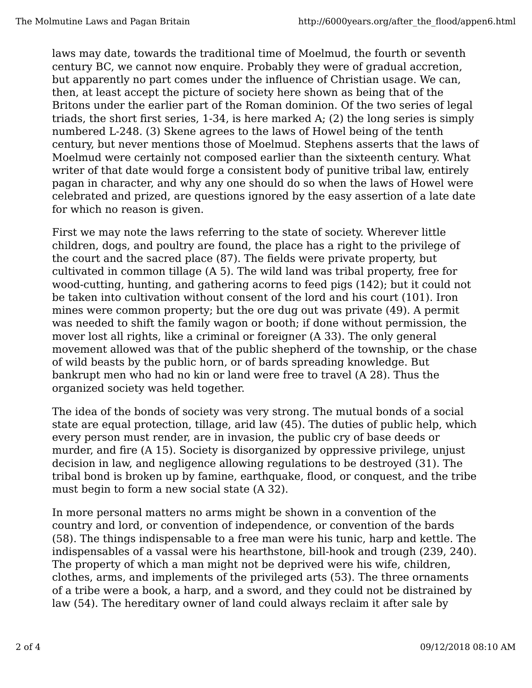laws may date, towards the traditional time of Moelmud, the fourth or seventh century BC, we cannot now enquire. Probably they were of gradual accretion, but apparently no part comes under the influence of Christian usage. We can, then, at least accept the picture of society here shown as being that of the Britons under the earlier part of the Roman dominion. Of the two series of legal triads, the short first series, 1-34, is here marked A; (2) the long series is simply numbered L-248. (3) Skene agrees to the laws of Howel being of the tenth century, but never mentions those of Moelmud. Stephens asserts that the laws of Moelmud were certainly not composed earlier than the sixteenth century. What writer of that date would forge a consistent body of punitive tribal law, entirely pagan in character, and why any one should do so when the laws of Howel were celebrated and prized, are questions ignored by the easy assertion of a late date for which no reason is given.

First we may note the laws referring to the state of society. Wherever little children, dogs, and poultry are found, the place has a right to the privilege of the court and the sacred place (87). The fields were private property, but cultivated in common tillage (A 5). The wild land was tribal property, free for wood-cutting, hunting, and gathering acorns to feed pigs (142); but it could not be taken into cultivation without consent of the lord and his court (101). Iron mines were common property; but the ore dug out was private (49). A permit was needed to shift the family wagon or booth; if done without permission, the mover lost all rights, like a criminal or foreigner (A 33). The only general movement allowed was that of the public shepherd of the township, or the chase of wild beasts by the public horn, or of bards spreading knowledge. But bankrupt men who had no kin or land were free to travel (A 28). Thus the organized society was held together.

The idea of the bonds of society was very strong. The mutual bonds of a social state are equal protection, tillage, arid law (45). The duties of public help, which every person must render, are in invasion, the public cry of base deeds or murder, and fire (A 15). Society is disorganized by oppressive privilege, unjust decision in law, and negligence allowing regulations to be destroyed (31). The tribal bond is broken up by famine, earthquake, flood, or conquest, and the tribe must begin to form a new social state (A 32).

In more personal matters no arms might be shown in a convention of the country and lord, or convention of independence, or convention of the bards (58). The things indispensable to a free man were his tunic, harp and kettle. The indispensables of a vassal were his hearthstone, bill-hook and trough (239, 240). The property of which a man might not be deprived were his wife, children, clothes, arms, and implements of the privileged arts (53). The three ornaments of a tribe were a book, a harp, and a sword, and they could not be distrained by law (54). The hereditary owner of land could always reclaim it after sale by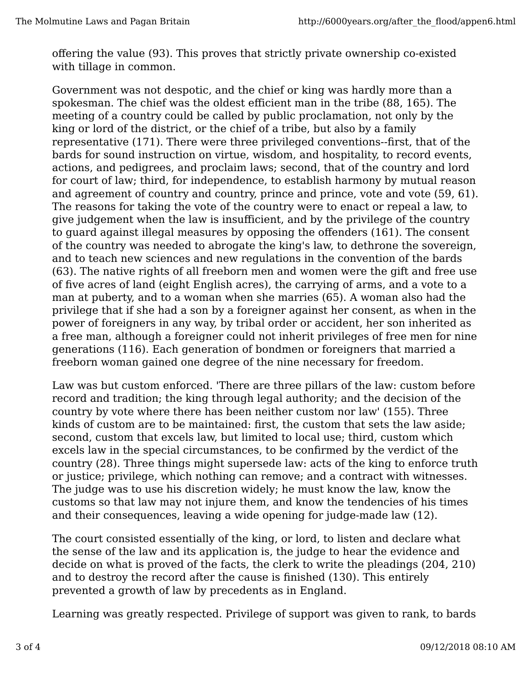offering the value (93). This proves that strictly private ownership co-existed with tillage in common.

Government was not despotic, and the chief or king was hardly more than a spokesman. The chief was the oldest efficient man in the tribe (88, 165). The meeting of a country could be called by public proclamation, not only by the king or lord of the district, or the chief of a tribe, but also by a family representative (171). There were three privileged conventions--first, that of the bards for sound instruction on virtue, wisdom, and hospitality, to record events, actions, and pedigrees, and proclaim laws; second, that of the country and lord for court of law; third, for independence, to establish harmony by mutual reason and agreement of country and country, prince and prince, vote and vote (59, 61). The reasons for taking the vote of the country were to enact or repeal a law, to give judgement when the law is insufficient, and by the privilege of the country to guard against illegal measures by opposing the offenders (161). The consent of the country was needed to abrogate the king's law, to dethrone the sovereign, and to teach new sciences and new regulations in the convention of the bards (63). The native rights of all freeborn men and women were the gift and free use of five acres of land (eight English acres), the carrying of arms, and a vote to a man at puberty, and to a woman when she marries (65). A woman also had the privilege that if she had a son by a foreigner against her consent, as when in the power of foreigners in any way, by tribal order or accident, her son inherited as a free man, although a foreigner could not inherit privileges of free men for nine generations (116). Each generation of bondmen or foreigners that married a freeborn woman gained one degree of the nine necessary for freedom.

Law was but custom enforced. 'There are three pillars of the law: custom before record and tradition; the king through legal authority; and the decision of the country by vote where there has been neither custom nor law' (155). Three kinds of custom are to be maintained: first, the custom that sets the law aside; second, custom that excels law, but limited to local use; third, custom which excels law in the special circumstances, to be confirmed by the verdict of the country (28). Three things might supersede law: acts of the king to enforce truth or justice; privilege, which nothing can remove; and a contract with witnesses. The judge was to use his discretion widely; he must know the law, know the customs so that law may not injure them, and know the tendencies of his times and their consequences, leaving a wide opening for judge-made law (12).

The court consisted essentially of the king, or lord, to listen and declare what the sense of the law and its application is, the judge to hear the evidence and decide on what is proved of the facts, the clerk to write the pleadings (204, 210) and to destroy the record after the cause is finished (130). This entirely prevented a growth of law by precedents as in England.

Learning was greatly respected. Privilege of support was given to rank, to bards